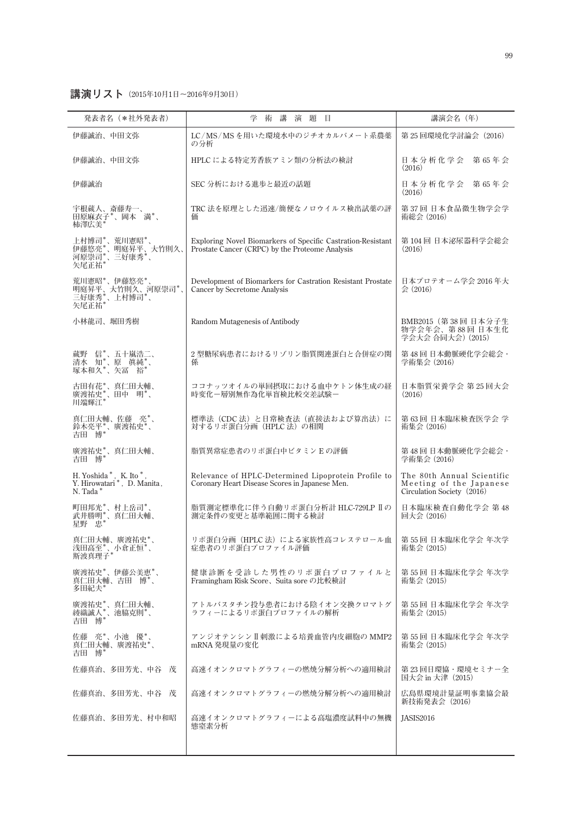**講演リスト(2015年10月1日〜2016年9月30日)**

| 発表者名 (*社外発表者)                                                     | 学<br>術 講<br>演題目                                                                                                | 講演会名 (年)                                                                            |
|-------------------------------------------------------------------|----------------------------------------------------------------------------------------------------------------|-------------------------------------------------------------------------------------|
| 伊藤誠治、中田文弥                                                         | LC/MS/MSを用いた環境水中のジチオカルバメート系農薬<br>の分析                                                                           | 第 25 回環境化学討論会 (2016)                                                                |
| 伊藤誠治、中田文弥                                                         | HPLC による特定芳香族アミン類の分析法の検討                                                                                       | 日本分析化学会<br>第65年会<br>(2016)                                                          |
| 伊藤誠治                                                              | SEC 分析における進歩と最近の話題                                                                                             | 日本分析化学会 第65年会<br>(2016)                                                             |
| 宇根蔵人、斎藤寿一、<br>田原麻衣子*、岡本満*、<br>柿澤広美*                               | TRC 法を原理とした迅速/簡便なノロウイルス検出試薬の評<br>価                                                                             | 第37回日本食品微生物学会学<br>術総会 (2016)                                                        |
| 上村博司*'、荒川憲昭*'、<br>矢尾正祐*                                           | Exploring Novel Biomarkers of Specific Castration-Resistant<br>Prostate Cancer (CRPC) by the Proteome Analysis | 第104回日本泌尿器科学会総会<br>(2016)                                                           |
| 荒川憲昭*、伊藤悠亮*、<br>明庭昇平、大竹則久、河原崇司*、<br>三好康秀*、上村博司*、<br>矢尾正祐*         | Development of Biomarkers for Castration Resistant Prostate<br>Cancer by Secretome Analysis                    | 日本プロテオーム学会 2016年大<br>会 (2016)                                                       |
| 小林龍司、堀田秀樹                                                         | Random Mutagenesis of Antibody                                                                                 | BMB2015 (第38回 日本分子生<br>物学会年会、第88回日本生化<br>学会大会 合同大会) (2015)                          |
| 蔵野 信*、五十嵐浩二、<br>清水 知*、原 真純*、<br>塚本和久*、矢冨 裕*                       | 2 型糖尿病患者におけるリゾリン脂質関連蛋白と合併症の関<br>係                                                                              | 第48回日本動脈硬化学会総会·<br>学術集会 (2016)                                                      |
| 古田有花*、真仁田大輔、<br>廣渡祐史*、田中 明*、<br>川端輝江*                             | ココナッツオイルの単回摂取における血中ケトン体生成の経<br>時変化ー層別無作為化単盲検比較交差試験ー                                                            | 日本脂質栄養学会 第25回大会<br>(2016)                                                           |
| 真仁田大輔、佐藤 亮*、<br>鈴木亮平*、廣渡祐史*、<br>吉田 博*                             | 標準法 (CDC法) と日常検査法 (直接法および算出法) に<br>対するリポ蛋白分画 (HPLC法)の相関                                                        | 第63回日本臨床検査医学会学<br>術集会 (2016)                                                        |
| 廣渡祐史*、真仁田大輔、<br>吉田 博*                                             | 脂質異常症患者のリポ蛋白中ビタミンEの評価                                                                                          | 第48回日本動脈硬化学会総会·<br>学術集会 (2016)                                                      |
| H. Yoshida *, K. Ito *,<br>Y. Hirowatari*, D. Manita,<br>N. Tada* | Relevance of HPLC-Determined Lipoprotein Profile to<br>Coronary Heart Disease Scores in Japanese Men.          | The 80th Annual Scientific<br>Meeting of the Japanese<br>Circulation Society (2016) |
| 町田邦光*、村上岳司*、<br>武井勝明*、真仁田大輔、<br>星野 忠*                             | 脂質測定標準化に伴う自動リポ蛋白分析計 HLC-729LP II の<br>測定条件の変更と基準範囲に関する検討                                                       | 日本臨床検査自動化学会 第48<br>回大会 (2016)                                                       |
| 真仁田大輔、廣渡祐史*、<br>浅田高至*、小倉正恒*、<br>斯波真理子*                            | リポ蛋白分画(HPLC 法)による家族性高コレステロール血<br>症患者のリポ蛋白プロファイル評価                                                              | 第55回日本臨床化学会年次学<br>術集会 (2015)                                                        |
| 廣渡祐史*、伊藤公美恵*、<br>真仁田大輔、吉田 博*、<br>多田紀夫*                            | 健康診断を受診した男性のリポ蛋白プロファイルと<br>Framingham Risk Score、Suita sore の比較検討                                              | 第 55 回 日本臨床化学会 年次学<br>術集会 (2015)                                                    |
| 廣渡祐史*、真仁田大輔、<br>綾織誠人*、池脇克則*、<br>吉田 博*                             | アトルバスタチン投与患者における陰イオン交換クロマトグ<br>ラフィーによるリポ蛋白プロファイルの解析                                                            | 第 55 回 日本臨床化学会 年次学<br>術集会 (2015)                                                    |
| 佐藤 亮*、小池 優*、<br>真仁田大輔、廣渡祐史*、<br>吉田 博*                             | アンジオテンシンⅡ刺激による培養血管内皮細胞の MMP2<br>mRNA 発現量の変化                                                                    | 第 55 回 日本臨床化学会 年次学<br>術集会 (2015)                                                    |
| 佐藤真治、多田芳光、中谷 茂                                                    | 高速イオンクロマトグラフィーの燃焼分解分析への適用検討                                                                                    | 第 23 回日環協・環境セミナー全<br>国大会 in 大津 (2015)                                               |
| 佐藤真治、多田芳光、中谷 茂                                                    | 高速イオンクロマトグラフィーの燃焼分解分析への適用検討                                                                                    | 広島県環境計量証明事業協会最<br>新技術発表会(2016)                                                      |
| 佐藤真治、多田芳光、村中和昭                                                    | 高速イオンクロマトグラフィーによる高塩濃度試料中の無機<br>態窒素分析                                                                           | JASIS2016                                                                           |
|                                                                   |                                                                                                                |                                                                                     |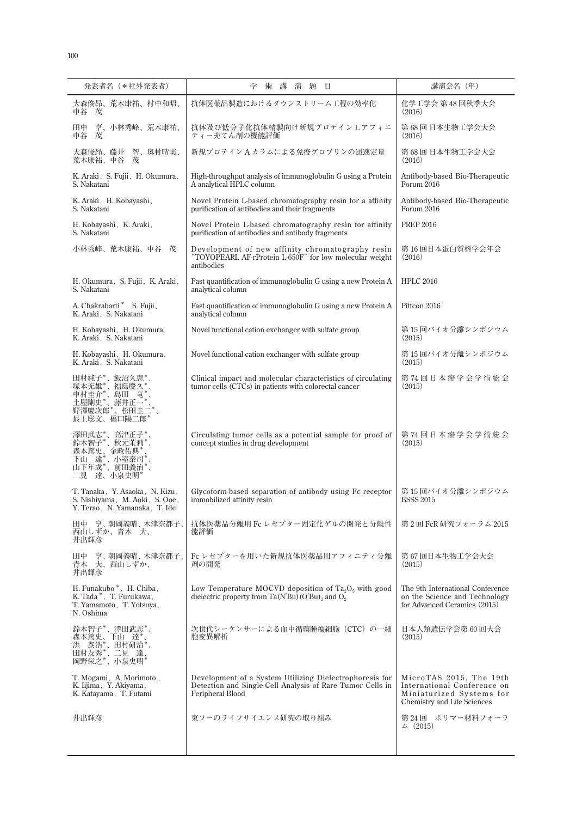| 発表者名(*社外発表者)                                                                                      | 学<br>術<br>講<br>演<br>題<br>目                                                                                                               | 講演会名 (年)                                                                                                          |
|---------------------------------------------------------------------------------------------------|------------------------------------------------------------------------------------------------------------------------------------------|-------------------------------------------------------------------------------------------------------------------|
| 大森俊昂、荒木康祐、村中和昭、<br>中谷 茂                                                                           | 抗体医薬品製造におけるダウンストリーム工程の効率化                                                                                                                | 化学工学会 第48回秋季大会<br>(2016)                                                                                          |
| 亨、小林秀峰、荒木康祐、<br>田中<br>中谷<br>茂                                                                     | 抗体及び低分子化抗体精製向け新規プロテインLアフィニ<br>ティー充てん剤の機能評価                                                                                               | 第 68 回 日本生物工学会大会<br>(2016)                                                                                        |
| 智、奥村晴美、<br>大森俊昂、藤井<br>荒木康祐、中谷<br>茂                                                                | 新規プロテイン A カラムによる免疫グロブリンの迅速定量                                                                                                             | 第68回日本生物工学会大会<br>(2016)                                                                                           |
| K. Araki, S. Fujii, H. Okumura,<br>S. Nakatani                                                    | High-throughput analysis of immunoglobulin G using a Protein<br>A analytical HPLC column                                                 | Antibody-based Bio-Therapeutic<br>Forum 2016                                                                      |
| K. Araki, H. Kobayashi,<br>S. Nakatani                                                            | Novel Protein L-based chromatography resin for a affinity<br>purification of antibodies and their fragments                              | Antibody-based Bio-Therapeutic<br>Forum 2016                                                                      |
| H. Kobayashi, K. Araki,<br>S. Nakatani                                                            | Novel Protein L-based chromatography resin for affinity<br>purification of antibodies and antibody fragments                             | <b>PREP 2016</b>                                                                                                  |
| 小林秀峰、荒木康祐、中谷<br>茂                                                                                 | Development of new affinity chromatography resin<br>'TOYOPEARL AF-rProtein L-650F" for low molecular weight<br>antibodies                | 第16回日本蛋白質科学会年会<br>(2016)                                                                                          |
| H. Okumura, S. Fujii, K. Araki,<br>S. Nakatani                                                    | Fast quantification of immunoglobulin G using a new Protein A<br>analytical column                                                       | <b>HPLC 2016</b>                                                                                                  |
| A. Chakrabarti *, S. Fujii,<br>K. Araki, S. Nakatani                                              | Fast quantification of immunoglobulin G using a new Protein A<br>analytical column                                                       | Pittcon 2016                                                                                                      |
| H. Kobayashi, H. Okumura,<br>K. Araki, S. Nakatani                                                | Novel functional cation exchanger with sulfate group                                                                                     | 第 15 回バイオ分離シンポジウム<br>(2015)                                                                                       |
| H. Kobayashi, H. Okumura,<br>K. Araki, S. Nakatani                                                | Novel functional cation exchanger with sulfate group                                                                                     | 第 15 回バイオ分離シンポジウム<br>(2015)                                                                                       |
| 田村純子*、飯沼久恵*<br>塚本充雄*、福島慶久*<br>中村圭介*、島田 竜*<br>土屋剛史*、藤井正一*<br>野澤慶次郎*、松田圭二*<br>最上聡文、橋口陽二郎*           | Clinical impact and molecular characteristics of circulating<br>tumor cells (CTCs) in patients with colorectal cancer                    | 第74回日本癌学会学術総会<br>(2015)                                                                                           |
| 澤田武志*、高津正子*<br>鈴木智子*、秋元茉莉*、<br>森本篤史、金政佑典*<br>下山 達*、小室泰司*<br>山下年成*、前田義治*<br>二見 達、小泉史明*             | Circulating tumor cells as a potential sample for proof of<br>concept studies in drug development                                        | 第74回日本癌学会学術総会<br>(2015)                                                                                           |
| T. Tanaka, Y. Asaoka, N. Kizu,<br>S. Nishiyama, M. Aoki, S. Ooe,<br>Y. Terao, N. Yamanaka, T. Ide | Glycoform-based separation of antibody using Fc receptor<br>immobilized affinity resin                                                   | 第15回バイオ分離シンポジウム<br><b>BSSS 2015</b>                                                                               |
| 田中 亨、朝岡義晴、木津奈都子、<br>西山しずか、青木 大、<br>井出輝彦                                                           | 抗体医薬品分離用 Fc レセプター固定化ゲルの開発と分離性<br>能評価                                                                                                     | 第2回 FcR 研究フォーラム 2015                                                                                              |
| 亨、朝岡義晴、木津奈都子、<br>田中<br>青木<br>大、西山しずか、<br>井出輝彦                                                     | Fc レセプターを用いた新規抗体医薬品用アフィニティ分離<br>剤の開発                                                                                                     | 第 67 回日本生物工学会大会<br>(2015)                                                                                         |
| H. Funakubo*, H. Chiba,<br>K. Tada*, T. Furukawa,<br>T. Yamamoto, T. Yotsuya,<br>N. Oshima        | Low Temperature MOCVD deposition of $Ta_2O_5$ with good<br>dielectric property from Ta( $N^tBu$ ) ( $O^tBu$ ) <sub>3</sub> and $O_2$     | The 9th International Conference<br>on the Science and Technology<br>for Advanced Ceramics (2015)                 |
| 鈴木智子*、澤田武志*、<br>森本篤史、下山 達*<br>泰浩*、田村研治*、<br>洪<br>田村友秀*<br>*、二見 達、<br>岡野栄之*、小泉史明*                  | 次世代シーケンサーによる血中循環腫瘍細胞(CTC)の一細<br>胞変異解析                                                                                                    | 日本人類遺伝学会第 60 回大会<br>(2015)                                                                                        |
| T. Mogami, A. Morimoto,<br>K. Iijima, Y. Akiyama,<br>K. Katayama, T. Futami                       | Development of a System Utilizing Dielectrophoresis for<br>Detection and Single-Cell Analysis of Rare Tumor Cells in<br>Peripheral Blood | MicroTAS 2015, The 19th<br>International Conference on<br>Miniaturized Systems for<br>Chemistry and Life Sciences |
| 井出輝彦                                                                                              | 東ソーのライフサイエンス研究の取り組み                                                                                                                      | 第 24 回 ポリマー材料フォーラ<br>$\angle (2015)$                                                                              |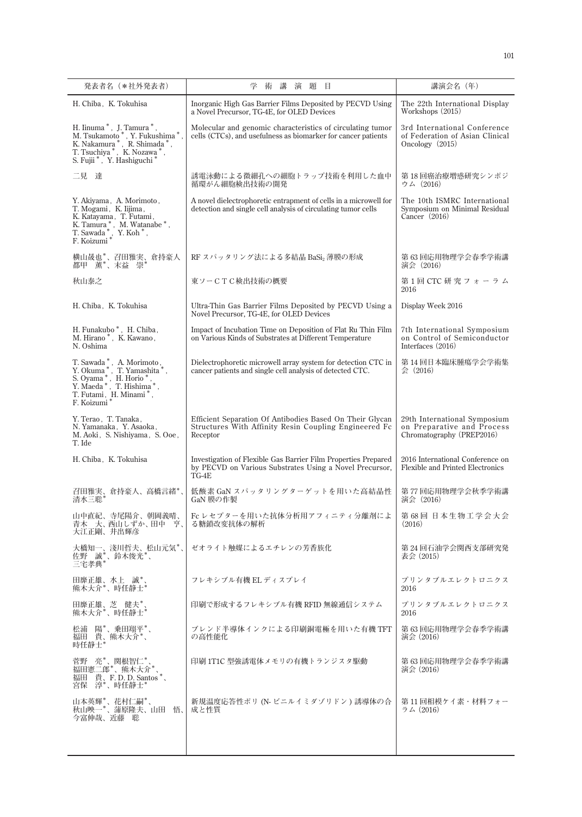| 発表者名(*社外発表者)                                                                                                                                                                                                                                                           | 学<br>術<br>講<br>演 題<br>目                                                                                                            | 講演会名(年)                                                                                 |
|------------------------------------------------------------------------------------------------------------------------------------------------------------------------------------------------------------------------------------------------------------------------|------------------------------------------------------------------------------------------------------------------------------------|-----------------------------------------------------------------------------------------|
| H. Chiba, K. Tokuhisa                                                                                                                                                                                                                                                  | Inorganic High Gas Barrier Films Deposited by PECVD Using<br>a Novel Precursor, TG-4E, for OLED Devices                            | The 22th International Display<br>Workshops (2015)                                      |
| H. Iinuma $^{\ast}$ , $\,$ J. Tamura $^{\ast}$ ,<br>M. Tsukamoto*, Y. Fukushima*<br>K. Nakamura *, R. Shimada *,<br>T. Tsuchiya*, K. Nozawa*,<br>S. Fujii *, Y. Hashiguchi *                                                                                           | Molecular and genomic characteristics of circulating tumor<br>cells (CTCs), and usefulness as biomarker for cancer patients        | 3rd International Conference<br>of Federation of Asian Clinical<br>Oncology (2015)      |
| 二見 達                                                                                                                                                                                                                                                                   | 誘電泳動による微細孔への細胞トラップ技術を利用した血中<br>循環がん細胞検出技術の開発                                                                                       | 第 18 回癌治療増感研究シンポジ<br>ウム (2016)                                                          |
| Y. Akiyama, A. Morimoto,<br>T. Mogami, K. Iijima,<br>K. Katayama, T. Futami,<br>K. Tamura *, M. Watanabe *,<br>T. Sawada <sup>*</sup> , Y. Koh <sup>*</sup> , F. Koizumi <sup>*</sup>                                                                                  | A novel dielectrophoretic entrapment of cells in a microwell for<br>detection and single cell analysis of circulating tumor cells  | The 10th ISMRC International<br>Symposium on Minimal Residual<br>Cancer $(2016)$        |
| 横山晟也*、召田雅実、倉持豪人<br>都甲 薫*、末益 崇*                                                                                                                                                                                                                                         | RF スパッタリング法による多結晶 BaSi2 薄膜の形成                                                                                                      | 第 63 回応用物理学会春季学術講<br>演会 (2016)                                                          |
| 秋山泰之                                                                                                                                                                                                                                                                   | 東ソーCTC検出技術の概要                                                                                                                      | 第1回 CTC 研究フォーラム<br>2016                                                                 |
| H. Chiba, K. Tokuhisa                                                                                                                                                                                                                                                  | Ultra-Thin Gas Barrier Films Deposited by PECVD Using a<br>Novel Precursor, TG-4E, for OLED Devices                                | Display Week 2016                                                                       |
| H. Funakubo*, H. Chiba,<br>M. Hirano*, K. Kawano,<br>N. Oshima                                                                                                                                                                                                         | Impact of Incubation Time on Deposition of Flat Ru Thin Film<br>on Various Kinds of Substrates at Different Temperature            | 7th International Symposium<br>on Control of Semiconductor<br>Interfaces (2016)         |
| $\begin{array}{ll} \text{T. Sawada}^*, & \text{A. Morimoto},\\ \text{Y. Okuma}^*, & \text{T. Yamashita}^*,\\ \text{S. Oyama}^*, & \text{H. Horio}^*,\\ \text{Y. Maeda}^*, & \text{T. Hishima}^*,\\ \text{T. Futami}, & \text{H. Minami}^*, \end{array}$<br>F. Koizumi* | Dielectrophoretic microwell array system for detection CTC in<br>cancer patients and single cell analysis of detected CTC.         | 第 14 回日本臨床腫瘍学会学術集<br>会 (2016)                                                           |
| Y. Terao, T. Tanaka,<br>N. Yamanaka, Y. Asaoka,<br>M. Aoki, S. Nishiyama, S. Ooe,<br>T. Ide                                                                                                                                                                            | Efficient Separation Of Antibodies Based On Their Glycan<br>Structures With Affinity Resin Coupling Engineered Fc<br>Receptor      | 29th International Symposium<br>on Preparative and Process<br>Chromatography (PREP2016) |
| H. Chiba, K. Tokuhisa                                                                                                                                                                                                                                                  | Investigation of Flexible Gas Barrier Film Properties Prepared<br>by PECVD on Various Substrates Using a Novel Precursor,<br>TG-4E | 2016 International Conference on<br><b>Flexible and Printed Electronics</b>             |
| 召田雅実、倉持豪人、高橋言緒*<br>清水三聡*                                                                                                                                                                                                                                               | 低酸素 GaN スパッタリングターゲットを用いた高結晶性<br>GaN 膜の作製                                                                                           | 第77回応用物理学会秋季学術講<br>演会 (2016)                                                            |
| 山中直紀、寺尾陽介、朝岡義晴、<br>青木 大、西山しずか、田中 亨、<br>大江正剛、井出輝彦                                                                                                                                                                                                                       | Fc レセプターを用いた抗体分析用アフィニティ分離剤によ<br>る糖鎖改変抗体の解析                                                                                         | 第 68 回 日本生物工学会大会<br>(2016)                                                              |
| 大橋知一、淺川哲夫、松山元気*、<br>佐野 誠*、鈴木俊光*、<br>三宅孝典*                                                                                                                                                                                                                              | ゼオライト触媒によるエチレンの芳香族化                                                                                                                | 第 24 回石油学会関西支部研究発<br>表会 (2015)                                                          |
| 田靡正雄、水上 誠*、<br>熊木大介*、時任静士*                                                                                                                                                                                                                                             | フレキシブル有機 EL ディスプレイ                                                                                                                 | プリンタブルエレクトロニクス<br>2016                                                                  |
| 田靡正雄、芝 健夫*、<br>熊木大介*、時任静士*                                                                                                                                                                                                                                             | 印刷で形成するフレキシブル有機 RFID 無線通信システム                                                                                                      | プリンタブルエレクトロニクス<br>2016                                                                  |
| 松浦 陽*、乗田翔平*、<br>福田 貴、熊木大介*、<br>時任静士*                                                                                                                                                                                                                                   | ブレンド半導体インクによる印刷銅電極を用いた有機 TFT<br>の高性能化                                                                                              | 第 63 回応用物理学会春季学術講<br>演会 (2016)                                                          |
| 菅野 亮*、関根智仁*、<br>福田憲二郎*、熊木大介*、<br>福田 貴、F.D.D. Santos*、<br>宮保 淳*、時任静士*                                                                                                                                                                                                   | 印刷 1T1C 型強誘電体メモリの有機トランジスタ駆動                                                                                                        | 第 63 回応用物理学会春季学術講<br>演会 (2016)                                                          |
| 山本英輝*、花村仁嗣*、<br>秋山映一*、蒲原隆夫、山田 悟、<br>今富伸哉、近藤 聡                                                                                                                                                                                                                          | 新規温度応答性ポリ (N- ビニルイミダゾリドン ) 誘導体の合<br>成と性質                                                                                           | 第 11 回相模ケイ素・材料フォー<br>$5\,\mathrm{\AA}$ (2016)                                           |
|                                                                                                                                                                                                                                                                        |                                                                                                                                    |                                                                                         |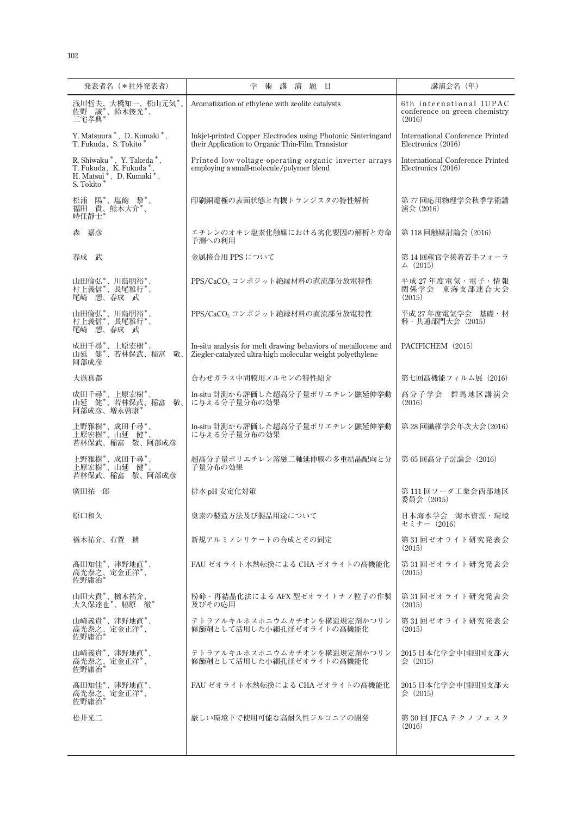| 発表者名(*社外発表者)                                                                                  | 講<br>演題目<br>学<br>術                                                                                                           | 講演会名 (年)                                                           |
|-----------------------------------------------------------------------------------------------|------------------------------------------------------------------------------------------------------------------------------|--------------------------------------------------------------------|
| 浅川哲夫、大橋知一、松山元気*、<br>佐野 誠*、鈴木俊光*、<br>三宅孝典*                                                     | Aromatization of ethylene with zeolite catalysts                                                                             | 6th international IUPAC<br>conference on green chemistry<br>(2016) |
| Y. Matsuura *, D. Kumaki *,<br>T. Fukuda, S. Tokito*                                          | Inkjet-printed Copper Electrodes using Photonic Sinteringand<br>their Application to Organic Thin-Film Transistor            | <b>International Conference Printed</b><br>Electronics (2016)      |
| R. Shiwaku *, Y. Takeda *,<br>T. Fukuda, K. Fukuda *, H. Matsui *, D. Kumaki *,<br>S. Tokito* | Printed low-voltage-operating organic inverter arrays<br>employing a small-molecule/polymer blend                            | <b>International Conference Printed</b><br>Electronics (2016)      |
| 松浦 陽*、塩飽 黎*、<br>福田 貴、熊木大介*、<br>時任静士                                                           | 印刷銅電極の表面状態と有機トランジスタの特性解析                                                                                                     | 第 77 回応用物理学会秋季学術講<br>演会 (2016)                                     |
| 嘉彦<br>森                                                                                       | エチレンのオキシ塩素化触媒における劣化要因の解析と寿命<br>予測への利用                                                                                        | 第118回触媒討論会 (2016)                                                  |
| 春成 武                                                                                          | 金属接合用 PPS について                                                                                                               | 第14回産官学接着若手フォーラ<br>$\angle (2015)$                                 |
| 山田倫弘*、川島朋裕*、<br>村上義信*、長尾雅行*、<br>尾崎 想、春成 武                                                     | PPS/CaCO <sub>3</sub> コンポジット絶縁材料の直流部分放電特性                                                                                    | 平成 27 年度電気・電子・情報<br>関係学会 東海支部連合大会<br>(2015)                        |
| 山田倫弘*、川島朋裕*、<br>村上義信*、長尾雅行*、<br>尾崎 想、春成 武                                                     | PPS/CaCO <sub>3</sub> コンポジット絶縁材料の直流部分放電特性                                                                                    | 平成 27年度電気学会 基礎·材<br>料・共通部門大会 (2015)                                |
| 成田千尋*、上原宏樹*、<br>山延 健*、若林保武、稲富<br>敬、<br>阿部成彦                                                   | In-situ analysis for melt drawing behaviors of metallocene and<br>Ziegler-catalyzed ultra-high molecular weight polyethylene | PACIFICHEM (2015)                                                  |
| 大嶽真都                                                                                          | 合わせガラス中間膜用メルセンの特性紹介                                                                                                          | 第七回高機能フィルム展 (2016)                                                 |
| 成田千尋*、上原宏樹*、<br>山延 健*、若林保武、稲富<br>敬、<br>阿部成彦、増永啓康'                                             | In-situ 計測から評価した超高分子量ポリエチレン融延伸挙動<br>に与える分子量分布の効果                                                                             | 群馬地区講演会<br>高分子学会<br>(2016)                                         |
| 上野雅樹*、成田千尋*、<br>上原宏樹*、山延健*、<br>若林保武、稲富 敬、阿部成彦                                                 | In-situ 計測から評価した超高分子量ポリエチレン融延伸挙動<br>に与える分子量分布の効果                                                                             | 第28回繊維学会年次大会(2016)                                                 |
| 上野雅樹*、成田千尋*、<br>上原宏樹*、山延 健*、<br>若林保武、稲富 敬、阿部成彦                                                | 超高分子量ポリエチレン溶融二軸延伸膜の多重結晶配向と分<br>子量分布の効果                                                                                       | 第 65 回高分子討論会 (2016)                                                |
| 廣田祐一郎                                                                                         | 排水 pH 安定化対策                                                                                                                  | 第111回ソーダ工業会西部地区<br>委員会(2015)                                       |
| 原口和久                                                                                          | 臭素の製造方法及び製品用途について                                                                                                            | 日本海水学会 海水資源・環境<br>セミナー(2016)                                       |
| 楢木祐介、有賀 耕                                                                                     | 新規アルミノシリケートの合成とその同定                                                                                                          | 第31回ゼオライト研究発表会<br>(2015)                                           |
| 髙田知佳*、津野地直*、<br>高光泰之、定金正洋*、<br>佐野庸治*                                                          | FAU ゼオライト水熱転換による CHA ゼオライトの高機能化                                                                                              | 第31回ゼオライト研究発表会<br>(2015)                                           |
| 山田大貴*、楢木祐介、<br>大久保達也*、脇原 徹*                                                                   | 粉砕・再結晶化法による AFX 型ゼオライトナノ粒子の作製<br>及びその応用                                                                                      | 第 31 回ゼオライト研究発表会<br>(2015)                                         |
| 山崎義貴*、津野地直*、<br>高光泰之、定金正洋*、<br>佐野庸治                                                           | テトラアルキルホスホニウムカチオンを構造規定剤かつリン<br>修飾剤として活用した小細孔径ゼオライトの高機能化                                                                      | 第31回ゼオライト研究発表会<br>(2015)                                           |
| 山崎義貴*、津野地直*、<br>高光泰之、定金正洋*、<br>佐野庸治*                                                          | テトラアルキルホスホニウムカチオンを構造規定剤かつリン<br>修飾剤として活用した小細孔径ゼオライトの高機能化                                                                      | 2015 日本化学会中国四国支部大<br>$\Leftrightarrow$ (2015)                      |
| 高田知佳*、津野地直*、<br>高光泰之、定金正洋*、<br>佐野庸治*                                                          | FAU ゼオライト水熱転換による CHA ゼオライトの高機能化                                                                                              | 2015 日本化学会中国四国支部大<br>$\Leftrightarrow$ (2015)                      |
| 松井光二                                                                                          | <b> 巌しい環境下で使用可能な高耐久性ジルコニアの開発</b>                                                                                             | 第 30 回 JFCA テクノフェスタ<br>(2016)                                      |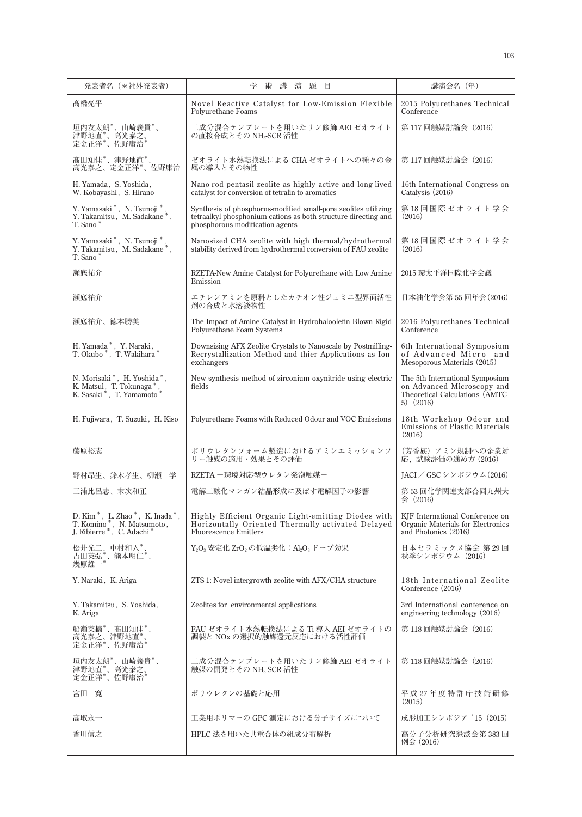| 発表者名 (*社外発表者)                                                                                                                   | 学 術<br>講<br>演題目                                                                                                                                                     | 講演会名 (年)                                                                                                          |
|---------------------------------------------------------------------------------------------------------------------------------|---------------------------------------------------------------------------------------------------------------------------------------------------------------------|-------------------------------------------------------------------------------------------------------------------|
| 髙橋亮平                                                                                                                            | Novel Reactive Catalyst for Low-Emission Flexible<br>Polyurethane Foams                                                                                             | 2015 Polyurethanes Technical<br>Conference                                                                        |
| 垣内友太朗*、山崎義貴*、<br>津野地直*、高光泰之、<br>定金正洋*、佐野庸治*                                                                                     | 二成分混合テンプレートを用いたリン修飾 AEI ゼオライト<br>の直接合成とその NH <sub>3</sub> -SCR 活性                                                                                                   | 第117回触媒討論会 (2016)                                                                                                 |
| 髙田知佳*、津野地直*、<br>高光泰之、定金正洋*、佐野庸治                                                                                                 | ゼオライト水熱転換法による CHA ゼオライトへの種々の金<br>属の導入とその物性                                                                                                                          | 第117回触媒討論会 (2016)                                                                                                 |
| H. Yamada, S. Yoshida,<br>W. Kobayashi, S. Hirano                                                                               | Nano-rod pentasil zeolite as highly active and long-lived<br>catalyst for conversion of tetralin to aromatics                                                       | 16th International Congress on<br>Catalysis (2016)                                                                |
| Y. Yamasaki *, N. Tsunoji *,<br>Y. Takamitsu, M. Sadakane*,<br>T. Sano*                                                         | Synthesis of phosphorus-modified small-pore zeolites utilizing<br>tetraalkyl phosphonium cations as both structure-directing and<br>phosphorous modification agents | 第 18 回国際 ゼオライト学会<br>(2016)                                                                                        |
| Y. Yamasaki*, N. Tsunoji*,<br>Y. Takamitsu, M. Sadakane*,<br>T. Sano*                                                           | Nanosized CHA zeolite with high thermal/hydrothermal<br>stability derived from hydrothermal conversion of FAU zeolite                                               | 第18回国際ゼオライト学会<br>(2016)                                                                                           |
| 瀬底祐介                                                                                                                            | RZETA-New Amine Catalyst for Polyurethane with Low Amine<br>Emission                                                                                                | 2015 環太平洋国際化学会議                                                                                                   |
| 瀬底祐介                                                                                                                            | エチレンアミンを原料としたカチオン性ジェミニ型界面活性<br>剤の合成と水溶液物性                                                                                                                           | 日本油化学会第 55 回年会 (2016)                                                                                             |
| 瀬底祐介、徳本勝美                                                                                                                       | The Impact of Amine Catalyst in Hydrohaloolefin Blown Rigid<br>Polyurethane Foam Systems                                                                            | 2016 Polyurethanes Technical<br>Conference                                                                        |
| H. Yamada $^*$ , Y. Naraki, T. Okubo $^*$ , T. Wakihara $^*$                                                                    | Downsizing AFX Zeolite Crystals to Nanoscale by Postmilling-<br>Recrystallization Method and thier Applications as Ion-<br>exchangers                               | 6th International Symposium<br>of Advanced Micro- and<br>Mesoporous Materials (2015)                              |
| N. Morisaki*, H. Yoshida*,<br>K. Matsui, T. Tokunaga*<br>K. Sasaki*, T. Yamamoto*                                               | New synthesis method of zirconium oxynitride using electric<br>fields                                                                                               | The 5th International Symposium<br>on Advanced Microscopy and<br>Theoretical Calculations (AMTC-<br>$5)$ $(2016)$ |
| H. Fujiwara, T. Suzuki, H. Kiso                                                                                                 | Polyurethane Foams with Reduced Odour and VOC Emissions                                                                                                             | 18th Workshop Odour and<br>Emissions of Plastic Materials<br>(2016)                                               |
| 藤原裕志                                                                                                                            | ポリウレタンフォーム製造におけるアミンエミッションフ<br>リー触媒の適用・効果とその評価                                                                                                                       | (芳香族) アミン規制への企業対<br>応, 試験評価の進め方 (2016)                                                                            |
| 野村昂生、鈴木孝生、柳瀬<br>学                                                                                                               | RZETA 一環境対応型ウレタン発泡触媒ー                                                                                                                                               | IACI / GSC シンポジウム(2016)                                                                                           |
| 三浦比呂志、末次和正                                                                                                                      | 電解二酸化マンガン結晶形成に及ぼす電解因子の影響                                                                                                                                            | 第53回化学関連支部合同九州大<br>会 (2016)                                                                                       |
| D. Kim <sup>*</sup> , L. Zhao <sup>*</sup> , K. Inada <sup>*</sup> ,<br>T. Komino*, N. Matsumoto,<br>J. Ribierre *, C. Adachi * | Highly Efficient Organic Light-emitting Diodes with<br>Horizontally Oriented Thermally-activated Delayed<br><b>Fluorescence Emitters</b>                            | KJF International Conference on<br>Organic Materials for Electronics<br>and Photonics (2016)                      |
| 松井光二、中村和人*。<br>吉田英弘*、熊本明仁*、<br>幾原雄一*                                                                                            | $Y_2O_3$ 安定化 ZrO <sub>2</sub> の低温劣化: Al <sub>2</sub> O <sub>3</sub> ドープ効果                                                                                           | 日本セラミックス協会 第29回<br>秋季シンポジウム (2016)                                                                                |
| Y. Naraki, K. Ariga                                                                                                             | ZTS-1: Novel intergrowth zeolite with AFX/CHA structure                                                                                                             | 18th International Zeolite<br>Conference (2016)                                                                   |
| Y. Takamitsu, S. Yoshida,<br>K. Ariga                                                                                           | Zeolites for environmental applications                                                                                                                             | 3rd International conference on<br>engineering technology $(2016)$                                                |
| 船瀬菜摘*、髙田知佳*、<br>高光泰之、津野地直*、<br>定金正洋*、佐野庸治*                                                                                      | FAU ゼオライト水熱転換法による Ti 導入 AEI ゼオライトの<br>調製と NOx の選択的触媒還元反応における活性評価                                                                                                    | 第118回触媒討論会 (2016)                                                                                                 |
| 垣内友太朗*、山崎義貴*、<br>津野地直*、高光泰之、<br>定金正洋*、佐野庸治*                                                                                     | 二成分混合テンプレートを用いたリン修飾 AEI ゼオライト<br>触媒の開発とその NH <sub>3</sub> -SCR 活性                                                                                                   | 第118回触媒討論会 (2016)                                                                                                 |
| 宮田 寛                                                                                                                            | ポリウレタンの基礎と応用                                                                                                                                                        | 平成 27 年度特許庁技術研修<br>(2015)                                                                                         |
| 高取永一                                                                                                                            | 工業用ポリマーの GPC 測定における分子サイズについて                                                                                                                                        | 成形加工シンポジア '15 (2015)                                                                                              |
| 香川信之                                                                                                                            | HPLC 法を用いた共重合体の組成分布解析                                                                                                                                               | 高分子分析研究懇談会第383回<br>例会 (2016)                                                                                      |